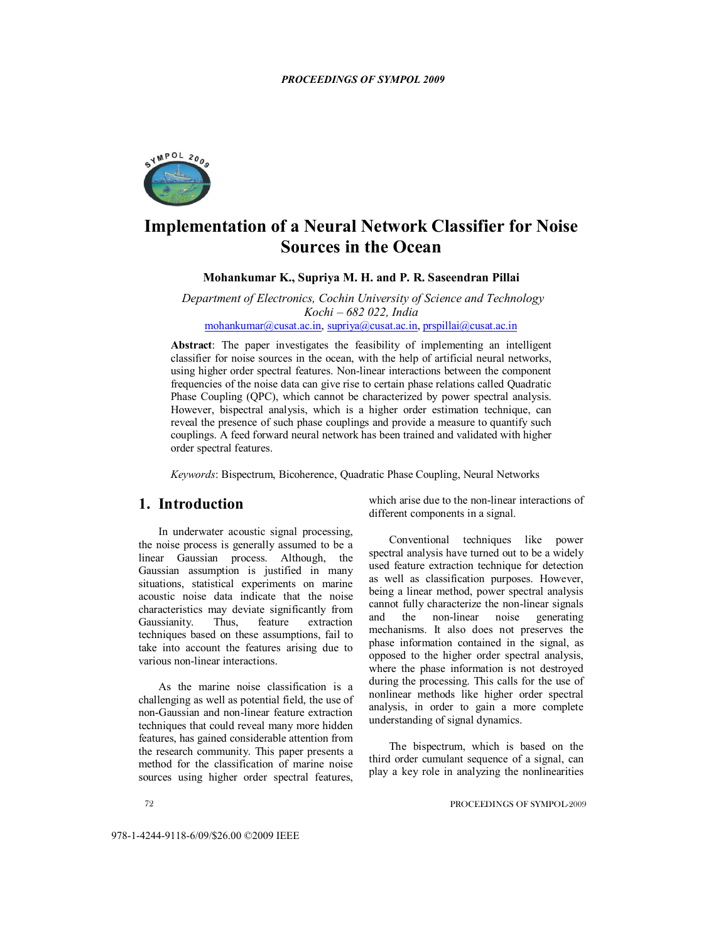#### *PROCEEDINGS OF SYMPOL 2009*



# **Implementation of a Neural Network Classifier for Noise Sources in the Ocean**

## **Mohankumar K., Supriya M. H. and P. R. Saseendran Pillai**

 *Department of Electronics, Cochin University of Science and Technology Kochi – 682 022, India* 

mohankumar@cusat.ac.in, supriya@cusat.ac.in, prspillai@cusat.ac.in

**Abstract**: The paper investigates the feasibility of implementing an intelligent classifier for noise sources in the ocean, with the help of artificial neural networks, using higher order spectral features. Non-linear interactions between the component frequencies of the noise data can give rise to certain phase relations called Quadratic Phase Coupling (QPC), which cannot be characterized by power spectral analysis. However, bispectral analysis, which is a higher order estimation technique, can reveal the presence of such phase couplings and provide a measure to quantify such couplings. A feed forward neural network has been trained and validated with higher order spectral features.

*Keywords*: Bispectrum, Bicoherence, Quadratic Phase Coupling, Neural Networks

# **1. Introduction**

In underwater acoustic signal processing, the noise process is generally assumed to be a linear Gaussian process. Although, the Gaussian assumption is justified in many situations, statistical experiments on marine acoustic noise data indicate that the noise characteristics may deviate significantly from Gaussianity. Thus, feature extraction techniques based on these assumptions, fail to take into account the features arising due to various non-linear interactions.

As the marine noise classification is a challenging as well as potential field, the use of non-Gaussian and non-linear feature extraction techniques that could reveal many more hidden features, has gained considerable attention from the research community. This paper presents a method for the classification of marine noise sources using higher order spectral features,

which arise due to the non-linear interactions of different components in a signal.

Conventional techniques like power spectral analysis have turned out to be a widely used feature extraction technique for detection as well as classification purposes. However, being a linear method, power spectral analysis cannot fully characterize the non-linear signals and the non-linear noise generating mechanisms. It also does not preserves the phase information contained in the signal, as opposed to the higher order spectral analysis, where the phase information is not destroyed during the processing. This calls for the use of nonlinear methods like higher order spectral analysis, in order to gain a more complete understanding of signal dynamics.

The bispectrum, which is based on the third order cumulant sequence of a signal, can play a key role in analyzing the nonlinearities

72 PROCEEDINGS OF SYMPOL-2009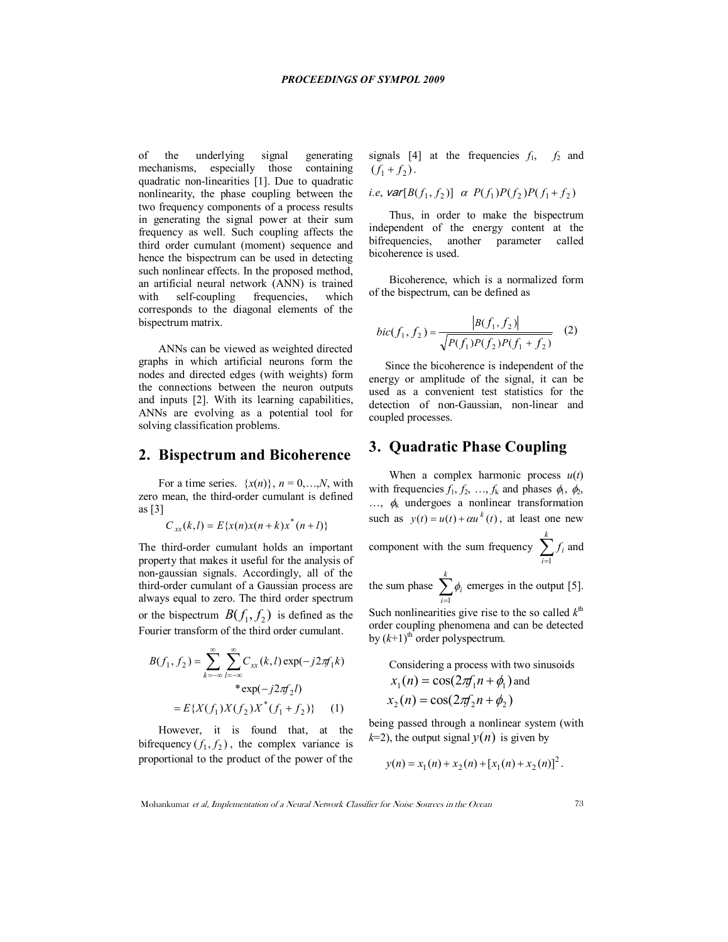of the underlying signal generating mechanisms, especially those containing quadratic non-linearities [1]. Due to quadratic nonlinearity, the phase coupling between the two frequency components of a process results in generating the signal power at their sum frequency as well. Such coupling affects the third order cumulant (moment) sequence and hence the bispectrum can be used in detecting such nonlinear effects. In the proposed method, an artificial neural network (ANN) is trained with self-coupling frequencies, which corresponds to the diagonal elements of the bispectrum matrix.

ANNs can be viewed as weighted directed graphs in which artificial neurons form the nodes and directed edges (with weights) form the connections between the neuron outputs and inputs [2]. With its learning capabilities, ANNs are evolving as a potential tool for solving classification problems.

## **2. Bispectrum and Bicoherence**

For a time series.  $\{x(n)\}\,$ ,  $n = 0, \ldots, N$ , with zero mean, the third-order cumulant is defined as [3]

$$
C_{xx}(k,l) = E\{x(n)x(n+k)x^*(n+l)\}\
$$

The third-order cumulant holds an important property that makes it useful for the analysis of non-gaussian signals. Accordingly, all of the third-order cumulant of a Gaussian process are always equal to zero. The third order spectrum or the bispectrum  $B(f_1, f_2)$  is defined as the Fourier transform of the third order cumulant.

$$
B(f_1, f_2) = \sum_{k=-\infty}^{\infty} \sum_{l=-\infty}^{\infty} C_{xx}(k, l) \exp(-j2\pi f_1 k)
$$
  
\*  $\exp(-j2\pi f_2 l)$   
=  $E\{X(f_1)X(f_2)X^*(f_1 + f_2)\}$  (1)

However, it is found that, at the bifrequency  $(f_1, f_2)$ , the complex variance is proportional to the product of the power of the signals [4] at the frequencies  $f_1$ ,  $f_2$  and  $(f_1 + f_2)$ .

*i.e*,  $var[B(f_1, f_2)] \propto P(f_1)P(f_2)P(f_1 + f_2)$ 

Thus, in order to make the bispectrum independent of the energy content at the bifrequencies, another parameter called bicoherence is used.

Bicoherence, which is a normalized form of the bispectrum, can be defined as

$$
bic(f_1, f_2) = \frac{|B(f_1, f_2)|}{\sqrt{P(f_1)P(f_2)P(f_1 + f_2)}} \quad (2)
$$

Since the bicoherence is independent of the energy or amplitude of the signal, it can be used as a convenient test statistics for the detection of non-Gaussian, non-linear and coupled processes.

# **3. Quadratic Phase Coupling**

When a complex harmonic process  $u(t)$ with frequencies  $f_1, f_2, \ldots, f_k$  and phases  $\phi_1, \phi_2$ ,  $..., \phi_k$  undergoes a nonlinear transformation such as  $y(t) = u(t) + \alpha u^{k}(t)$ , at least one new component with the sum frequency  $\sum_{i=1}^{k}$  $f_i$  and

the sum phase  $\sum_{i=1}^{k}$ *i i* 1  $\phi_i$  emerges in the output [5].

*i*

1

Such nonlinearities give rise to the so called  $k<sup>th</sup>$ order coupling phenomena and can be detected by  $(k+1)$ <sup>th</sup> order polyspectrum.

Considering a process with two sinusoids  
\n
$$
x_1(n) = \cos(2\pi f_1 n + \phi_1)
$$
 and  
\n $x_2(n) = \cos(2\pi f_2 n + \phi_2)$ 

being passed through a nonlinear system (with  $k=2$ ), the output signal  $v(n)$  is given by

$$
y(n) = x_1(n) + x_2(n) + [x_1(n) + x_2(n)]^2.
$$

Mohankumar et al, Implementation of a Neural Network Classifier for Noise Sources in the Ocean 73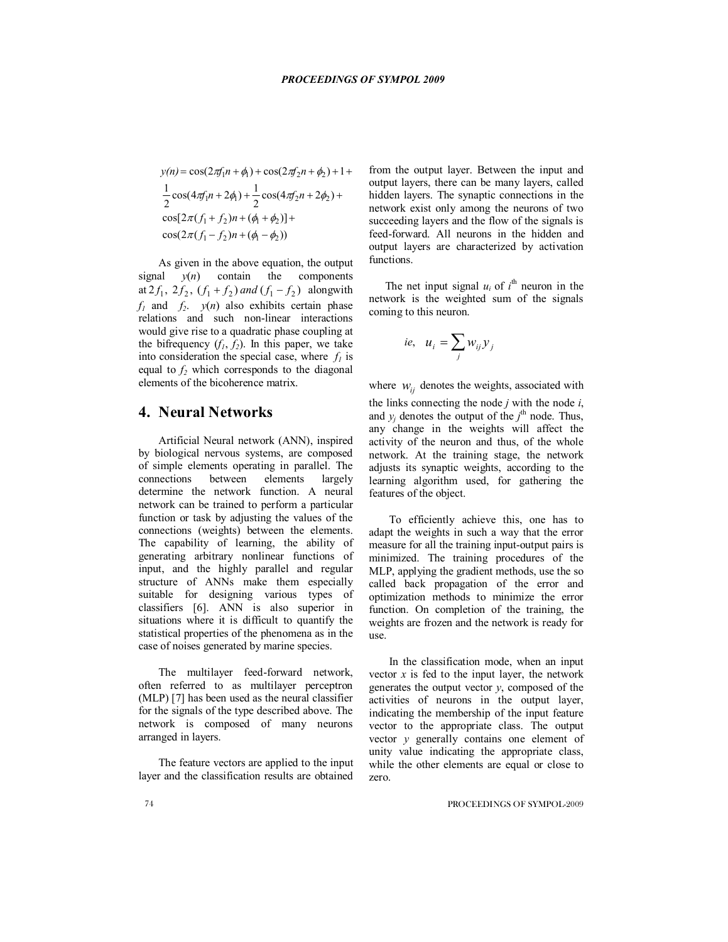$$
y(n) = \cos(2\pi f_1 n + \phi_1) + \cos(2\pi f_2 n + \phi_2) + 1 +
$$
  
\n
$$
\frac{1}{2}\cos(4\pi f_1 n + 2\phi_1) + \frac{1}{2}\cos(4\pi f_2 n + 2\phi_2) +
$$
  
\n
$$
\cos[2\pi (f_1 + f_2)n + (\phi_1 + \phi_2)] +
$$
  
\n
$$
\cos(2\pi (f_1 - f_2)n + (\phi_1 - \phi_2))
$$

As given in the above equation, the output signal  $y(n)$  contain the components at  $2f_1$ ,  $2f_2$ ,  $(f_1 + f_2)$  *and*  $(f_1 - f_2)$  alongwith  $f_1$  and  $f_2$ .  $y(n)$  also exhibits certain phase relations and such non-linear interactions would give rise to a quadratic phase coupling at the bifrequency  $(f_1, f_2)$ . In this paper, we take into consideration the special case, where  $f_l$  is equal to  $f_2$  which corresponds to the diagonal elements of the bicoherence matrix.

## **4. Neural Networks**

Artificial Neural network (ANN), inspired by biological nervous systems, are composed of simple elements operating in parallel. The connections between elements largely determine the network function. A neural network can be trained to perform a particular function or task by adjusting the values of the connections (weights) between the elements. The capability of learning, the ability of generating arbitrary nonlinear functions of input, and the highly parallel and regular structure of ANNs make them especially suitable for designing various types of classifiers [6]. ANN is also superior in situations where it is difficult to quantify the statistical properties of the phenomena as in the case of noises generated by marine species.

The multilayer feed-forward network, often referred to as multilayer perceptron (MLP) [7] has been used as the neural classifier for the signals of the type described above. The network is composed of many neurons arranged in layers.

The feature vectors are applied to the input layer and the classification results are obtained from the output layer. Between the input and output layers, there can be many layers, called hidden layers. The synaptic connections in the network exist only among the neurons of two succeeding layers and the flow of the signals is feed-forward. All neurons in the hidden and output layers are characterized by activation functions.

The net input signal  $u_i$  of  $i^{\text{th}}$  neuron in the network is the weighted sum of the signals coming to this neuron.

$$
ie, \quad u_i = \sum_j w_{ij} y_j
$$

where  $w_{ij}$  denotes the weights, associated with

the links connecting the node *j* with the node *i*, and  $y_j$  denotes the output of the  $j^{\text{th}}$  node. Thus, any change in the weights will affect the activity of the neuron and thus, of the whole network. At the training stage, the network adjusts its synaptic weights, according to the learning algorithm used, for gathering the features of the object.

To efficiently achieve this, one has to adapt the weights in such a way that the error measure for all the training input-output pairs is minimized. The training procedures of the MLP, applying the gradient methods, use the so called back propagation of the error and optimization methods to minimize the error function. On completion of the training, the weights are frozen and the network is ready for use.

In the classification mode, when an input vector  $x$  is fed to the input layer, the network generates the output vector  $y$ , composed of the activities of neurons in the output layer, indicating the membership of the input feature vector to the appropriate class. The output vector *y* generally contains one element of unity value indicating the appropriate class, while the other elements are equal or close to zero.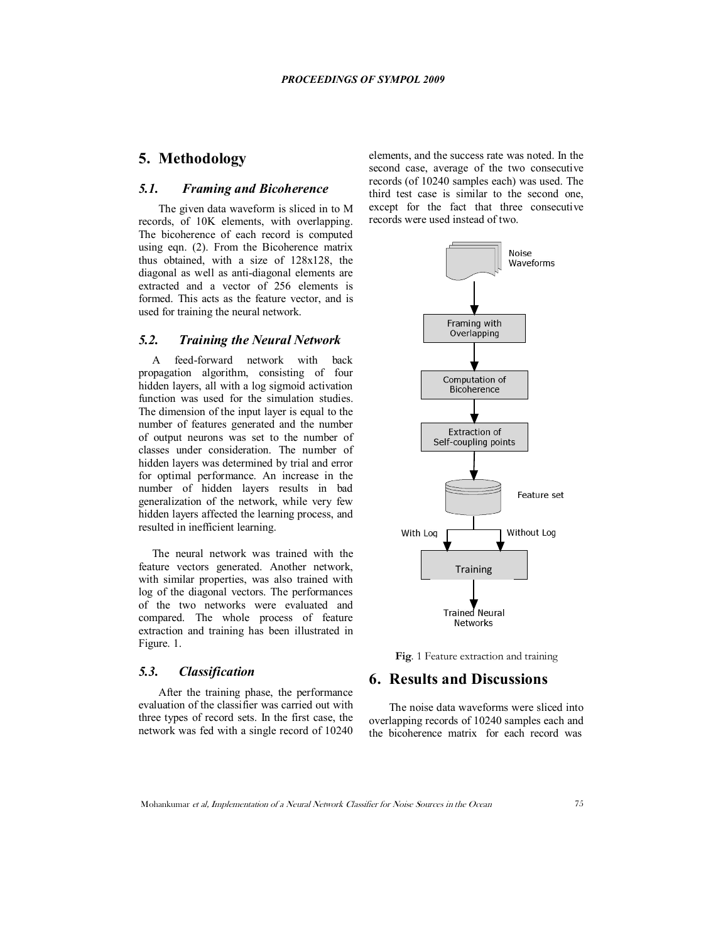# **5. Methodology**

## *5.1. Framing and Bicoherence*

The given data waveform is sliced in to M records, of 10K elements, with overlapping. The bicoherence of each record is computed using eqn. (2). From the Bicoherence matrix thus obtained, with a size of 128x128, the diagonal as well as anti-diagonal elements are extracted and a vector of 256 elements is formed. This acts as the feature vector, and is used for training the neural network.

## *5.2. Training the Neural Network*

A feed-forward network with back propagation algorithm, consisting of four hidden layers, all with a log sigmoid activation function was used for the simulation studies. The dimension of the input layer is equal to the number of features generated and the number of output neurons was set to the number of classes under consideration. The number of hidden layers was determined by trial and error for optimal performance. An increase in the number of hidden layers results in bad generalization of the network, while very few hidden layers affected the learning process, and resulted in inefficient learning.

The neural network was trained with the feature vectors generated. Another network, with similar properties, was also trained with log of the diagonal vectors. The performances of the two networks were evaluated and compared. The whole process of feature extraction and training has been illustrated in Figure. 1.

#### *5.3. Classification*

After the training phase, the performance evaluation of the classifier was carried out with three types of record sets. In the first case, the network was fed with a single record of 10240 elements, and the success rate was noted. In the second case, average of the two consecutive records (of 10240 samples each) was used. The third test case is similar to the second one, except for the fact that three consecutive records were used instead of two.



**Fig**. 1 Feature extraction and training

## **6. Results and Discussions**

The noise data waveforms were sliced into overlapping records of 10240 samples each and the bicoherence matrix for each record was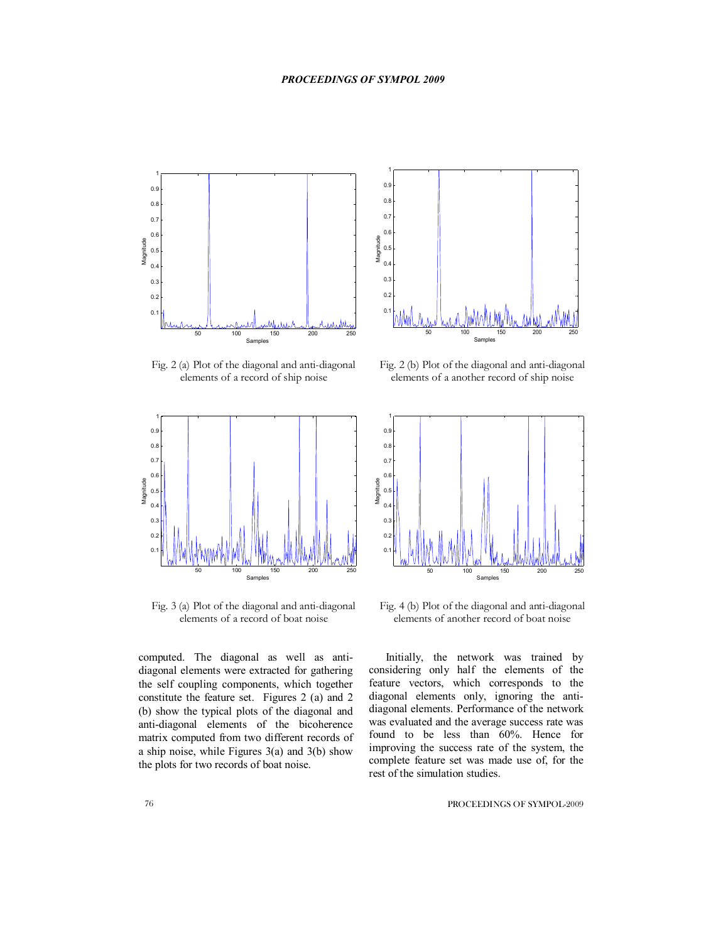

Fig. 2 (a) Plot of the diagonal and anti-diagonal elements of a record of ship noise



Fig. 3 (a) Plot of the diagonal and anti-diagonal elements of a record of boat noise

computed. The diagonal as well as antidiagonal elements were extracted for gathering the self coupling components, which together constitute the feature set. Figures 2 (a) and 2 (b) show the typical plots of the diagonal and anti-diagonal elements of the bicoherence matrix computed from two different records of a ship noise, while Figures 3(a) and 3(b) show the plots for two records of boat noise.



Fig. 2 (b) Plot of the diagonal and anti-diagonal elements of a another record of ship noise



Fig. 4 (b) Plot of the diagonal and anti-diagonal elements of another record of boat noise

 Initially, the network was trained by considering only half the elements of the feature vectors, which corresponds to the diagonal elements only, ignoring the antidiagonal elements. Performance of the network was evaluated and the average success rate was found to be less than 60%. Hence for improving the success rate of the system, the complete feature set was made use of, for the rest of the simulation studies.

76 PROCEEDINGS OF SYMPOL-2009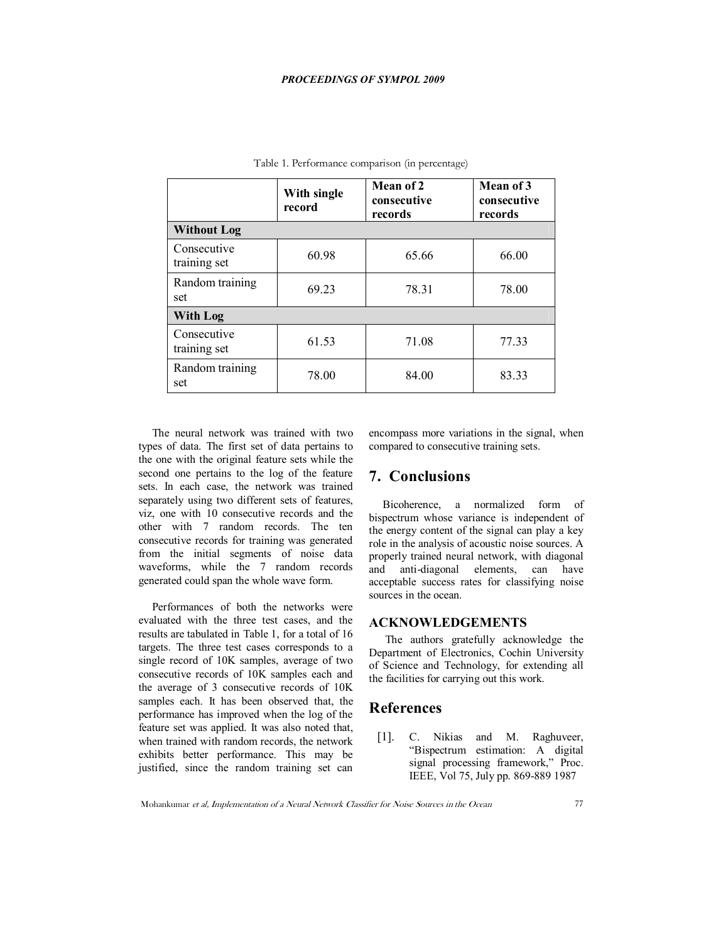|                             | With single<br>record | Mean of 2<br>consecutive<br>records | Mean of 3<br>consecutive<br>records |
|-----------------------------|-----------------------|-------------------------------------|-------------------------------------|
| <b>Without Log</b>          |                       |                                     |                                     |
| Consecutive<br>training set | 60.98                 | 65.66                               | 66.00                               |
| Random training<br>set      | 69.23                 | 78.31                               | 78.00                               |
| <b>With Log</b>             |                       |                                     |                                     |
| Consecutive<br>training set | 61.53                 | 71.08                               | 77.33                               |
| Random training<br>set      | 78.00                 | 84.00                               | 83.33                               |

Table 1. Performance comparison (in percentage)

The neural network was trained with two types of data. The first set of data pertains to the one with the original feature sets while the second one pertains to the log of the feature sets. In each case, the network was trained separately using two different sets of features, viz, one with 10 consecutive records and the other with 7 random records. The ten consecutive records for training was generated from the initial segments of noise data waveforms, while the 7 random records generated could span the whole wave form.

Performances of both the networks were evaluated with the three test cases, and the results are tabulated in Table 1, for a total of 16 targets. The three test cases corresponds to a single record of 10K samples, average of two consecutive records of 10K samples each and the average of 3 consecutive records of 10K samples each. It has been observed that, the performance has improved when the log of the feature set was applied. It was also noted that, when trained with random records, the network exhibits better performance. This may be justified, since the random training set can encompass more variations in the signal, when compared to consecutive training sets.

# **7. Conclusions**

Bicoherence, a normalized form of bispectrum whose variance is independent of the energy content of the signal can play a key role in the analysis of acoustic noise sources. A properly trained neural network, with diagonal and anti-diagonal elements, can have acceptable success rates for classifying noise sources in the ocean.

## **ACKNOWLEDGEMENTS**

The authors gratefully acknowledge the Department of Electronics, Cochin University of Science and Technology, for extending all the facilities for carrying out this work.

## **References**

[1]. C. Nikias and M. Raghuveer, "Bispectrum estimation: A digital signal processing framework," Proc. IEEE, Vol 75, July pp. 869-889 1987